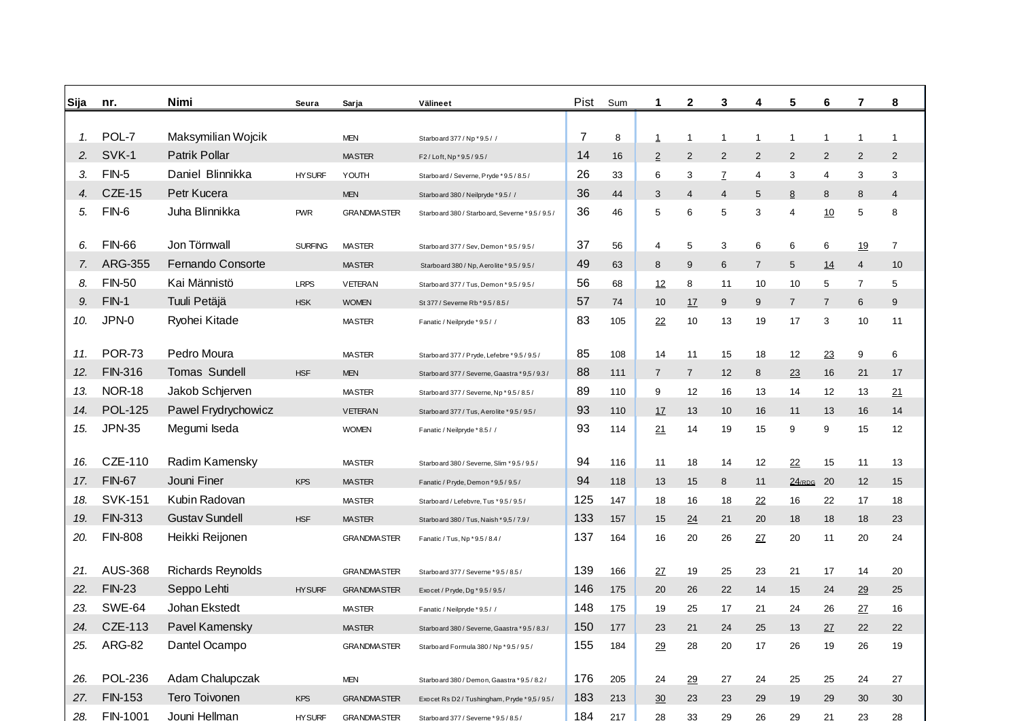| Sija | nr.            | Nimi                     | Seura          | Sarja              | Välineet                                         | Pist | Sum | 1              | $\mathbf{2}$   | 3              | 4              | 5              | 6              | 7              | 8              |
|------|----------------|--------------------------|----------------|--------------------|--------------------------------------------------|------|-----|----------------|----------------|----------------|----------------|----------------|----------------|----------------|----------------|
|      |                |                          |                |                    |                                                  |      |     |                |                |                |                |                |                |                |                |
| 1.   | POL-7          | Maksymilian Wojcik       |                | <b>MEN</b>         | Starboard 377 / Np * 9.5 / /                     | 7    | 8   | $\mathbf{1}$   | 1              | $\mathbf 1$    | $\overline{1}$ | $\mathbf{1}$   | $\mathbf{1}$   | $\mathbf 1$    | -1             |
| 2.   | SVK-1          | Patrik Pollar            |                | <b>MASTER</b>      | F2/Loft, Np *9.5/9.5/                            | 14   | 16  | $\overline{2}$ | 2              | $\overline{2}$ | 2              | 2              | $\overline{2}$ | $\overline{2}$ | 2              |
| З.   | $FIN-5$        | Daniel Blinnikka         | <b>HY SURF</b> | YOUTH              | Starboard / Severne, Pryde * 9.5 / 8.5 /         | 26   | 33  | 6              | 3              | Z              | 4              | 3              | 4              | 3              | 3              |
| 4.   | <b>CZE-15</b>  | Petr Kucera              |                | <b>MEN</b>         | Starboard 380 / Neilpryde * 9.5 / /              | 36   | 44  | 3              | $\overline{4}$ | 4              | 5              | 8              | 8              | 8              | $\overline{4}$ |
| 5.   | $FIN-6$        | Juha Blinnikka           | <b>PWR</b>     | <b>GRANDMASTER</b> | Starboard 380 / Starboard, Severne * 9.5 / 9.5 / | 36   | 46  | 5              | 6              | 5              | 3              | 4              | 10             | 5              | 8              |
| 6.   | <b>FIN-66</b>  | Jon Törnwall             | <b>SURFING</b> | <b>MASTER</b>      | Starboard 377 / Sev, Demon * 9.5 / 9.5 /         | 37   | 56  | 4              | 5              | 3              | 6              | 6              | 6              | 19             | $\overline{7}$ |
| 7.   | ARG-355        | Fernando Consorte        |                | <b>MASTER</b>      | Starboard 380 / Np, Aerolite * 9.5 / 9.5 /       | 49   | 63  | 8              | 9              | 6              | $\overline{7}$ | 5              | 14             | $\overline{4}$ | 10             |
| 8.   | <b>FIN-50</b>  | Kai Männistö             | <b>LRPS</b>    | <b>VETERAN</b>     | Starboard 377 / Tus, Demon * 9.5 / 9.5 /         | 56   | 68  | <u>12</u>      | 8              | 11             | 10             | 10             | 5              | $\overline{7}$ | 5              |
| 9.   | $FIN-1$        | Tuuli Petäjä             | <b>HSK</b>     | <b>WOMEN</b>       | St 377 / Severne Rb * 9.5 / 8.5 /                | 57   | 74  | 10             | 17             | 9              | 9              | $\overline{7}$ | $\overline{7}$ | 6              | 9              |
| 10.  | JPN-0          | Ryohei Kitade            |                | <b>MASTER</b>      | Fanatic / Neilpryde * 9.5 / /                    | 83   | 105 | 22             | 10             | 13             | 19             | 17             | 3              | 10             | 11             |
| 11.  | <b>POR-73</b>  | Pedro Moura              |                | <b>MASTER</b>      | Starboard 377 / Pryde, Lefebre * 9.5 / 9.5 /     | 85   | 108 | 14             | 11             | 15             | 18             | 12             | 23             | 9              | 6              |
| 12.  | <b>FIN-316</b> | <b>Tomas Sundell</b>     | <b>HSF</b>     | <b>MEN</b>         | Starboard 377 / Severne, Gaastra * 9,5 / 9.3 /   | 88   | 111 | $\overline{7}$ | $\overline{7}$ | 12             | 8              | 23             | 16             | 21             | 17             |
| 13.  | <b>NOR-18</b>  | Jakob Schjerven          |                | <b>MASTER</b>      | Starboard 377 / Severne, Np * 9.5 / 8.5 /        | 89   | 110 | 9              | 12             | 16             | 13             | 14             | 12             | 13             | 21             |
| 14.  | <b>POL-125</b> | Pawel Frydrychowicz      |                | VETERAN            | Starboard 377 / Tus, Aerolite * 9.5 / 9.5 /      | 93   | 110 | 17             | 13             | 10             | 16             | 11             | 13             | 16             | 14             |
| 15.  | <b>JPN-35</b>  | Megumi Iseda             |                | <b>WOMEN</b>       | Fanatic / Neilpryde *8.5 / /                     | 93   | 114 | <u>21</u>      | 14             | 19             | 15             | 9              | 9              | 15             | 12             |
| 16.  | CZE-110        | Radim Kamensky           |                | <b>MASTER</b>      | Starboard 380 / Severne, Slim * 9.5 / 9.5 /      | 94   | 116 | 11             | 18             | 14             | 12             | 22             | 15             | 11             | 13             |
| 17.  | <b>FIN-67</b>  | Jouni Finer              | <b>KPS</b>     | <b>MASTER</b>      | Fanatic / Pryde, Demon * 9,5 / 9.5 /             | 94   | 118 | 13             | 15             | 8              | 11             | $24$ /RDG 20   |                | 12             | 15             |
| 18.  | <b>SVK-151</b> | Kubin Radovan            |                | <b>MASTER</b>      | Starboard / Lefebvre, Tus * 9.5 / 9.5 /          | 125  | 147 | 18             | 16             | 18             | 22             | 16             | 22             | 17             | 18             |
| 19.  | <b>FIN-313</b> | <b>Gustav Sundell</b>    | <b>HSF</b>     | <b>MASTER</b>      | Starboard 380 / Tus, Naish * 9,5 / 7.9 /         | 133  | 157 | 15             | 24             | 21             | 20             | 18             | 18             | 18             | 23             |
| 20.  | <b>FIN-808</b> | Heikki Reijonen          |                | <b>GRANDMASTER</b> | Fanatic / Tus, Np * 9.5 / 8.4 /                  | 137  | 164 | 16             | 20             | 26             | 27             | 20             | 11             | 20             | 24             |
| 21.  | <b>AUS-368</b> | <b>Richards Reynolds</b> |                | <b>GRANDMASTER</b> | Starbo ard 377 / Severne * 9.5 / 8.5 /           | 139  | 166 | 27             | 19             | 25             | 23             | 21             | 17             | 14             | 20             |
| 22.  | <b>FIN-23</b>  | Seppo Lehti              | <b>HY SURF</b> | <b>GRANDMASTER</b> | Exocet / Pryde, Dg * 9.5 / 9.5 /                 | 146  | 175 | 20             | 26             | 22             | 14             | 15             | 24             | 29             | 25             |
| 23.  | <b>SWE-64</b>  | Johan Ekstedt            |                | <b>MASTER</b>      | Fanatic / Neilpryde * 9.5 / /                    | 148  | 175 | 19             | 25             | 17             | 21             | 24             | 26             | 27             | 16             |
| 24.  | CZE-113        | Pavel Kamensky           |                | <b>MASTER</b>      | Starbo ard 380 / Severne, Gaastra * 9.5 / 8.3 /  | 150  | 177 | 23             | 21             | 24             | 25             | 13             | 27             | 22             | 22             |
| 25.  | <b>ARG-82</b>  | Dantel Ocampo            |                | <b>GRANDMASTER</b> | Starboard Formula 380 / Np * 9.5 / 9.5 /         | 155  | 184 | 29             | 28             | 20             | 17             | 26             | 19             | 26             | 19             |
| 26.  | <b>POL-236</b> | Adam Chalupczak          |                | <b>MEN</b>         | Starboard 380 / Demon, Gaastra * 9.5 / 8.2 /     | 176  | 205 | 24             | 29             | 27             | 24             | 25             | 25             | 24             | 27             |
| 27.  | FIN-153        | Tero Toivonen            | <b>KPS</b>     | <b>GRANDMASTER</b> | Exocet Rs D2 / Tushingham, Pryde *9,5 / 9.5 /    | 183  | 213 | 30             | 23             | 23             | 29             | 19             | 29             | 30             | 30             |
| 28.  | FIN-1001       | Jouni Hellman            | <b>HY SURF</b> | <b>GRANDMASTER</b> | Starboard 377 / Severne * 9.5 / 8.5 /            | 184  | 217 | 28             | 33             | 29             | 26             | 29             | 21             | 23             | 28             |